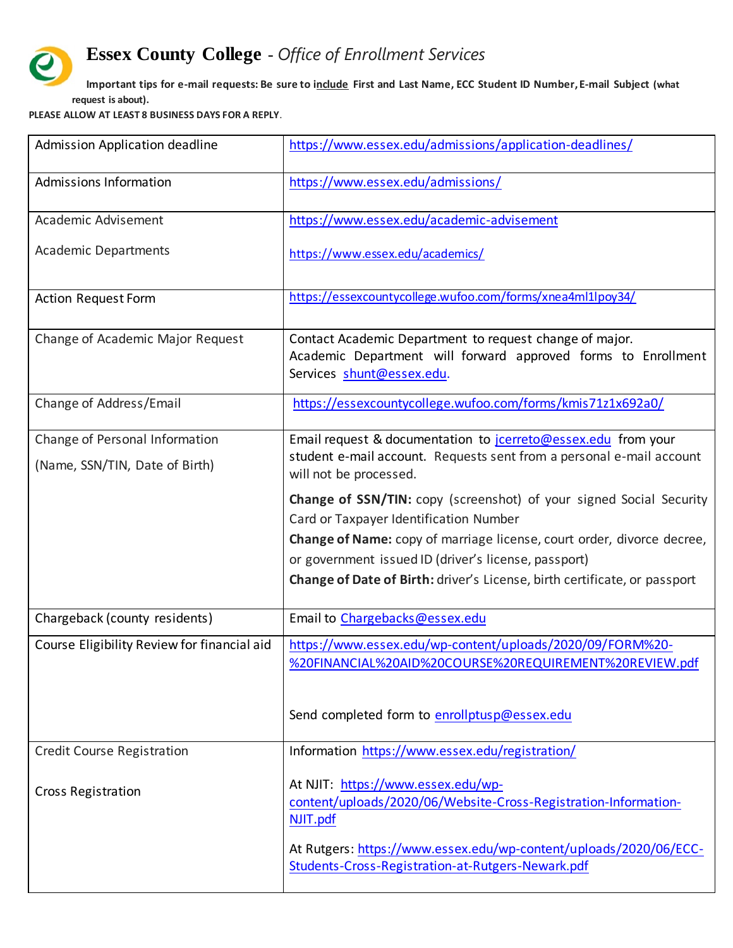## **Essex County College** - *Office of Enrollment Services*

**Important tips for e-mail requests: Be sure to include First and Last Name, ECC Student ID Number, E-mail Subject (what request is about).**

**PLEASE ALLOW AT LEAST 8 BUSINESS DAYS FOR A REPLY**.

Ŀ

| Admission Application deadline              | https://www.essex.edu/admissions/application-deadlines/                                                                                               |
|---------------------------------------------|-------------------------------------------------------------------------------------------------------------------------------------------------------|
| Admissions Information                      | https://www.essex.edu/admissions/                                                                                                                     |
| Academic Advisement                         | https://www.essex.edu/academic-advisement                                                                                                             |
| <b>Academic Departments</b>                 | https://www.essex.edu/academics/                                                                                                                      |
| <b>Action Request Form</b>                  | https://essexcountycollege.wufoo.com/forms/xnea4ml1lpoy34/                                                                                            |
| Change of Academic Major Request            | Contact Academic Department to request change of major.<br>Academic Department will forward approved forms to Enrollment<br>Services shunt@essex.edu. |
| Change of Address/Email                     | https://essexcountycollege.wufoo.com/forms/kmis71z1x692a0/                                                                                            |
| Change of Personal Information              | Email request & documentation to jcerreto@essex.edu from your                                                                                         |
| (Name, SSN/TIN, Date of Birth)              | student e-mail account. Requests sent from a personal e-mail account<br>will not be processed.                                                        |
|                                             | <b>Change of SSN/TIN:</b> copy (screenshot) of your signed Social Security                                                                            |
|                                             | Card or Taxpayer Identification Number                                                                                                                |
|                                             | Change of Name: copy of marriage license, court order, divorce decree,<br>or government issued ID (driver's license, passport)                        |
|                                             | Change of Date of Birth: driver's License, birth certificate, or passport                                                                             |
| Chargeback (county residents)               | Email to Chargebacks@essex.edu                                                                                                                        |
| Course Eligibility Review for financial aid | https://www.essex.edu/wp-content/uploads/2020/09/FORM%20-<br>%20FINANCIAL%20AID%20COURSE%20REQUIREMENT%20REVIEW.pdf                                   |
|                                             | Send completed form to enrollptusp@essex.edu                                                                                                          |
| <b>Credit Course Registration</b>           | Information https://www.essex.edu/registration/                                                                                                       |
| <b>Cross Registration</b>                   | At NJIT: https://www.essex.edu/wp-<br>content/uploads/2020/06/Website-Cross-Registration-Information-<br>NJIT.pdf                                     |
|                                             | At Rutgers: https://www.essex.edu/wp-content/uploads/2020/06/ECC-<br>Students-Cross-Registration-at-Rutgers-Newark.pdf                                |